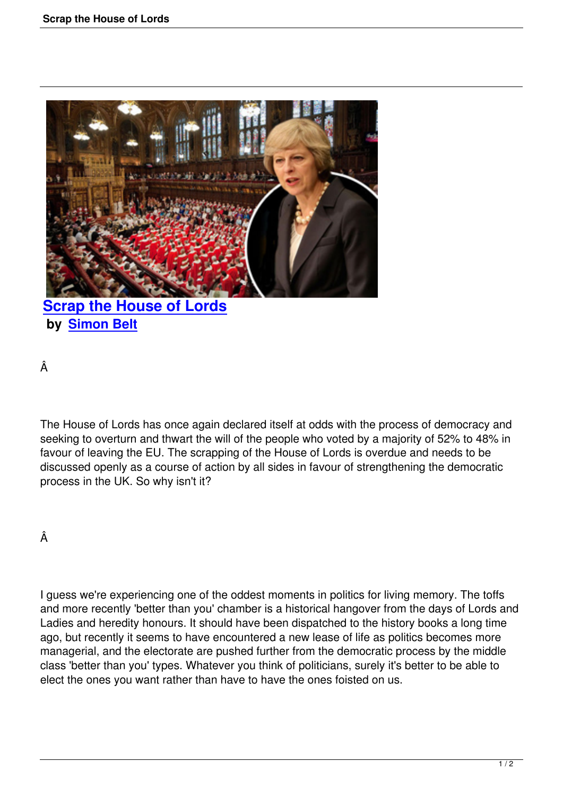

**by Simon Belt**

Â

The House of Lords has once again declared itself at odds with the process of democracy and seeking to overturn and thwart the will of the people who voted by a majority of 52% to 48% in favour of leaving the EU. The scrapping of the House of Lords is overdue and needs to be discussed openly as a course of action by all sides in favour of strengthening the democratic process in the UK. So why isn't it?

## Â

I guess we're experiencing one of the oddest moments in politics for living memory. The toffs and more recently 'better than you' chamber is a historical hangover from the days of Lords and Ladies and heredity honours. It should have been dispatched to the history books a long time ago, but recently it seems to have encountered a new lease of life as politics becomes more managerial, and the electorate are pushed further from the democratic process by the middle class 'better than you' types. Whatever you think of politicians, surely it's better to be able to elect the ones you want rather than have to have the ones foisted on us.